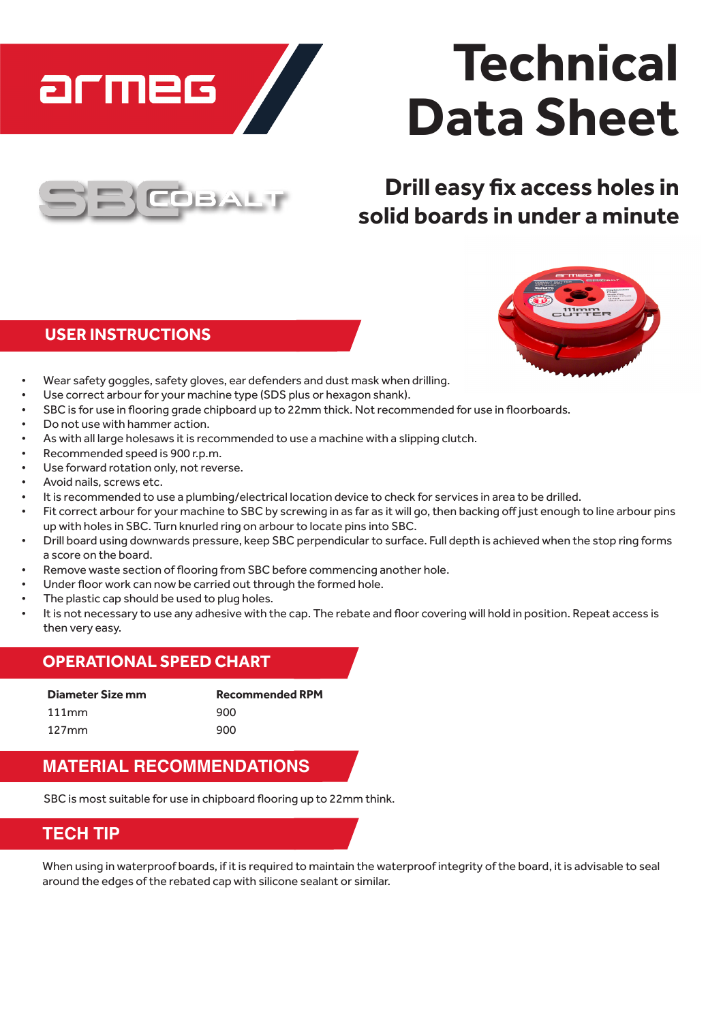

# **Technical Data Sheet**



## **Drill easy fix access holes in solid boards in under a minute**

#### **USER INSTRUCTIONS**



- Wear safety goggles, safety gloves, ear defenders and dust mask when drilling.
- Use correct arbour for your machine type (SDS plus or hexagon shank).
- SBC is for use in flooring grade chipboard up to 22mm thick. Not recommended for use in floorboards.
- Do not use with hammer action.
- As with all large holesaws it is recommended to use a machine with a slipping clutch.
- Recommended speed is 900 r.p.m.
- Use forward rotation only, not reverse.
- Avoid nails, screws etc.
- It is recommended to use a plumbing/electrical location device to check for services in area to be drilled.
- Fit correct arbour for your machine to SBC by screwing in as far as it will go, then backing off just enough to line arbour pins up with holes in SBC. Turn knurled ring on arbourto locate pins into SBC.
- Drill board using downwards pressure, keep SBC perpendicular to surface. Full depth is achieved when the stop ring forms a score on the board.
- Remove waste section of flooring from SBC before commencing another hole.
- Under floor work can now be carried out through the formed hole.
- The plastic cap should be used to plug holes.
- It is not necessary to use any adhesive with the cap. The rebate and floor covering will hold in position. Repeat access is then very easy.

#### **OPERATIONAL SPEED CHART**

| Diameter Size mm | <b>Recommended RPM</b> |
|------------------|------------------------|
| 111mm            | 900                    |
| $127$ mm         | 900                    |

#### **MATERIAL RECOMMENDATIONS**

SBC is most suitable for use in chipboard flooring up to 22mm think.

#### **TECH TIP**

When using in waterproof boards, if it is required to maintain the waterproof integrity of the board, it is advisable to seal around the edges of the rebated cap with silicone sealant or similar.